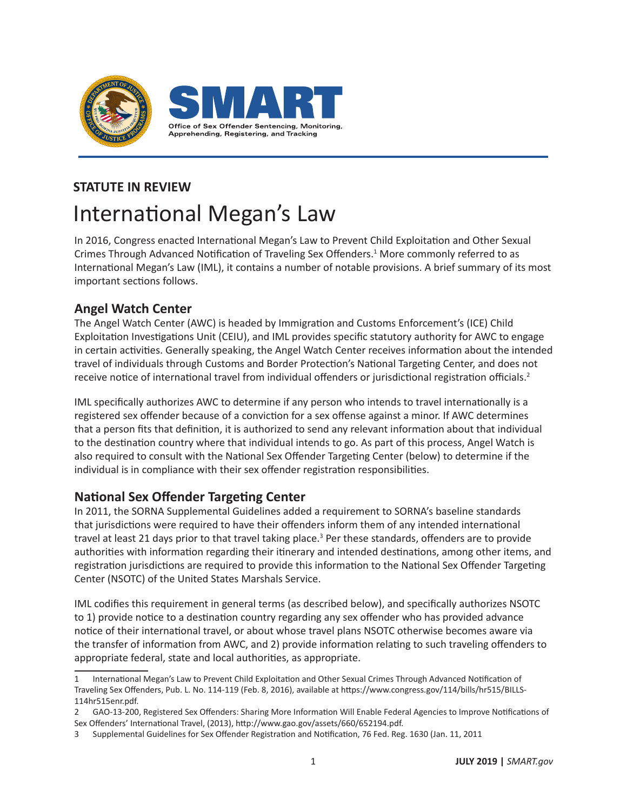

# **STATUTE IN REVIEW** International Megan's Law

In 2016, Congress enacted International Megan's Law to Prevent Child Exploitation and Other Sexual Crimes Through Advanced Notification of Traveling Sex Offenders.<sup>1</sup> More commonly referred to as International Megan's Law (IML), it contains a number of notable provisions. A brief summary of its most important sections follows.

# **Angel Watch Center**

The Angel Watch Center (AWC) is headed by Immigration and Customs Enforcement's (ICE) Child Exploitation Investigations Unit (CEIU), and IML provides specific statutory authority for AWC to engage in certain activities. Generally speaking, the Angel Watch Center receives information about the intended travel of individuals through Customs and Border Protection's National Targeting Center, and does not receive notice of international travel from individual offenders or jurisdictional registration officials.<sup>2</sup>

IML specifically authorizes AWC to determine if any person who intends to travel internationally is a registered sex offender because of a conviction for a sex offense against a minor. If AWC determines that a person fits that definition, it is authorized to send any relevant information about that individual to the destination country where that individual intends to go. As part of this process, Angel Watch is also required to consult with the National Sex Offender Targeting Center (below) to determine if the individual is in compliance with their sex offender registration responsibilities.

# **National Sex Offender Targeting Center**

In 2011, the SORNA Supplemental Guidelines added a requirement to SORNA's baseline standards that jurisdictions were required to have their offenders inform them of any intended international travel at least 21 days prior to that travel taking place.<sup>3</sup> Per these standards, offenders are to provide authorities with information regarding their itinerary and intended destinations, among other items, and registration jurisdictions are required to provide this information to the National Sex Offender Targeting Center (NSOTC) of the United States Marshals Service.

IML codifies this requirement in general terms (as described below), and specifically authorizes NSOTC to 1) provide notice to a destination country regarding any sex offender who has provided advance notice of their international travel, or about whose travel plans NSOTC otherwise becomes aware via the transfer of information from AWC, and 2) provide information relating to such traveling offenders to appropriate federal, state and local authorities, as appropriate.

<sup>1</sup> International Megan's Law to Prevent Child Exploitation and Other Sexual Crimes Through Advanced Notification of Traveling Sex Offenders, Pub. L. No. 114-119 (Feb. 8, 2016), available at https://www.congress.gov/114/bills/hr515/BILLS-114hr515enr.pdf.

<sup>2</sup> GAO-13-200, Registered Sex Offenders: Sharing More Information Will Enable Federal Agencies to Improve Notifications of Sex Offenders' International Travel, (2013), http://www.gao.gov/assets/660/652194.pdf.

<sup>3</sup> Supplemental Guidelines for Sex Offender Registration and Notification, 76 Fed. Reg. 1630 (Jan. 11, 2011